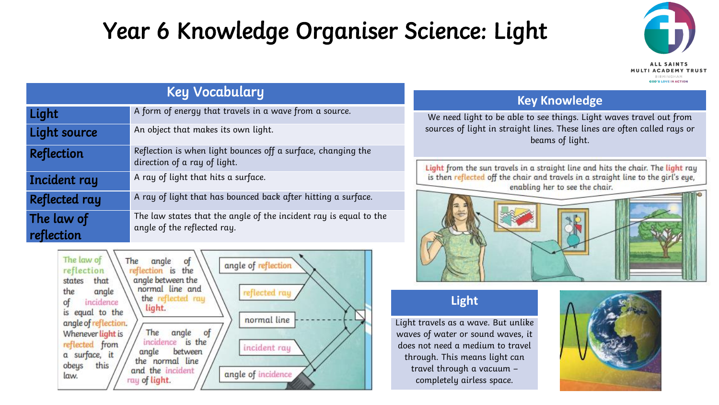# Year 6 Knowledge Organiser Science: Light



| <b>Key Vocabulary</b>    |                                                                                                  |
|--------------------------|--------------------------------------------------------------------------------------------------|
| Light                    | A form of energy that travels in a wave from a source.                                           |
| Light source             | An object that makes its own light.                                                              |
| <b>Reflection</b>        | Reflection is when light bounces off a surface, changing the<br>direction of a ray of light.     |
| Incident ray             | A ray of light that hits a surface.                                                              |
| <b>Reflected ray</b>     | A ray of light that has bounced back after hitting a surface.                                    |
| The law of<br>reflection | The law states that the angle of the incident ray is equal to the<br>angle of the reflected ray. |



#### **Key Knowledge**

We need light to be able to see things. Light waves travel out from sources of light in straight lines. These lines are often called rays or beams of light.

Light from the sun travels in a straight line and hits the chair. The light ray is then reflected off the chair and travels in a straight line to the girl's eye, enabling her to see the chair.



### **Light**

Light travels as a wave. But unlike waves of water or sound waves, it does not need a medium to travel through. This means light can travel through a vacuum – completely airless space.